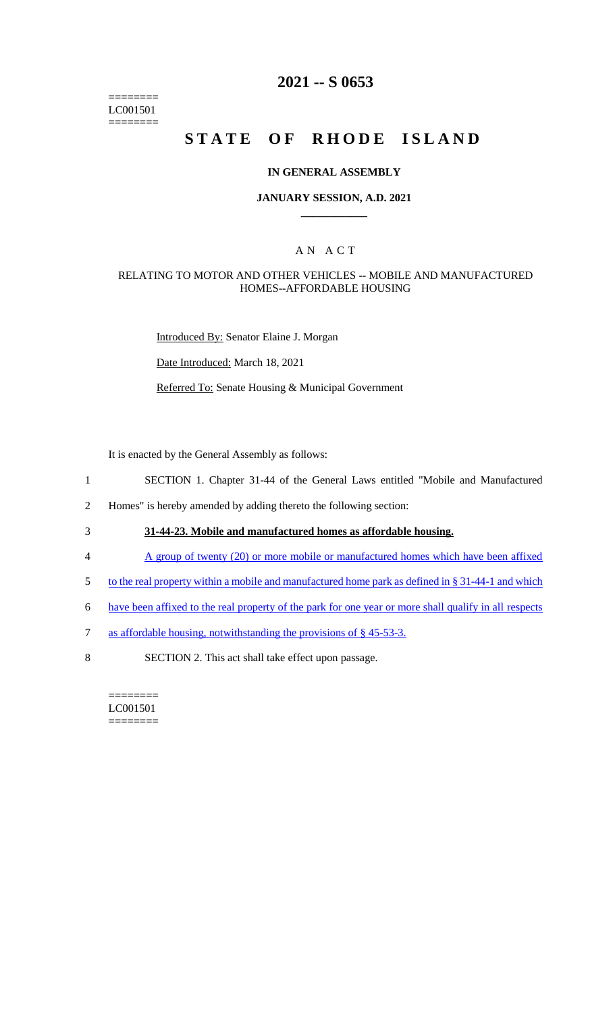======== LC001501 ========

# **2021 -- S 0653**

# **STATE OF RHODE ISLAND**

#### **IN GENERAL ASSEMBLY**

#### **JANUARY SESSION, A.D. 2021 \_\_\_\_\_\_\_\_\_\_\_\_**

### A N A C T

#### RELATING TO MOTOR AND OTHER VEHICLES -- MOBILE AND MANUFACTURED HOMES--AFFORDABLE HOUSING

Introduced By: Senator Elaine J. Morgan

Date Introduced: March 18, 2021

Referred To: Senate Housing & Municipal Government

It is enacted by the General Assembly as follows:

- 1 SECTION 1. Chapter 31-44 of the General Laws entitled "Mobile and Manufactured
- 2 Homes" is hereby amended by adding thereto the following section:
- 3 **31-44-23. Mobile and manufactured homes as affordable housing.**
- 4 A group of twenty (20) or more mobile or manufactured homes which have been affixed
- 5 to the real property within a mobile and manufactured home park as defined in § 31-44-1 and which
- 6 have been affixed to the real property of the park for one year or more shall qualify in all respects
- 7 as affordable housing, notwithstanding the provisions of § 45-53-3.
- 8 SECTION 2. This act shall take effect upon passage.

======== LC001501 ========